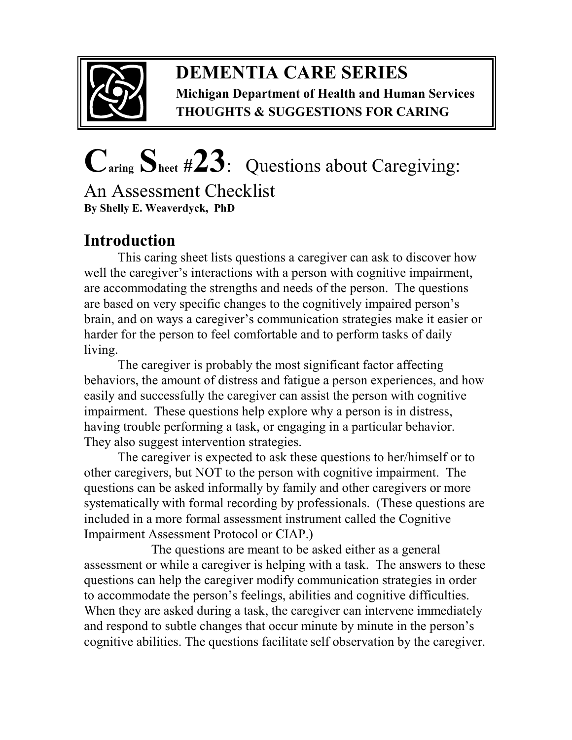

### **DEMENTIA CARE SERIES Michigan Department of Health and Human Services THOUGHTS & SUGGESTIONS FOR CARING**

# **Caring Sheet #23**:Questions about Caregiving:

An Assessment Checklist **By Shelly E. Weaverdyck, PhD** 

## **Introduction**

This caring sheet lists questions a caregiver can ask to discover how well the caregiver's interactions with a person with cognitive impairment, are accommodating the strengths and needs of the person. The questions are based on very specific changes to the cognitively impaired person's brain, and on ways a caregiver's communication strategies make it easier or harder for the person to feel comfortable and to perform tasks of daily living.

The caregiver is probably the most significant factor affecting behaviors, the amount of distress and fatigue a person experiences, and how easily and successfully the caregiver can assist the person with cognitive impairment. These questions help explore why a person is in distress, having trouble performing a task, or engaging in a particular behavior. They also suggest intervention strategies.

The caregiver is expected to ask these questions to her/himself or to other caregivers, but NOT to the person with cognitive impairment. The questions can be asked informally by family and other caregivers or more systematically with formal recording by professionals. (These questions are included in a more formal assessment instrument called the Cognitive Impairment Assessment Protocol or CIAP.)

 The questions are meant to be asked either as a general assessment or while a caregiver is helping with a task. The answers to these questions can help the caregiver modify communication strategies in order to accommodate the person's feelings, abilities and cognitive difficulties. When they are asked during a task, the caregiver can intervene immediately and respond to subtle changes that occur minute by minute in the person's cognitive abilities. The questions facilitate self observation by the caregiver.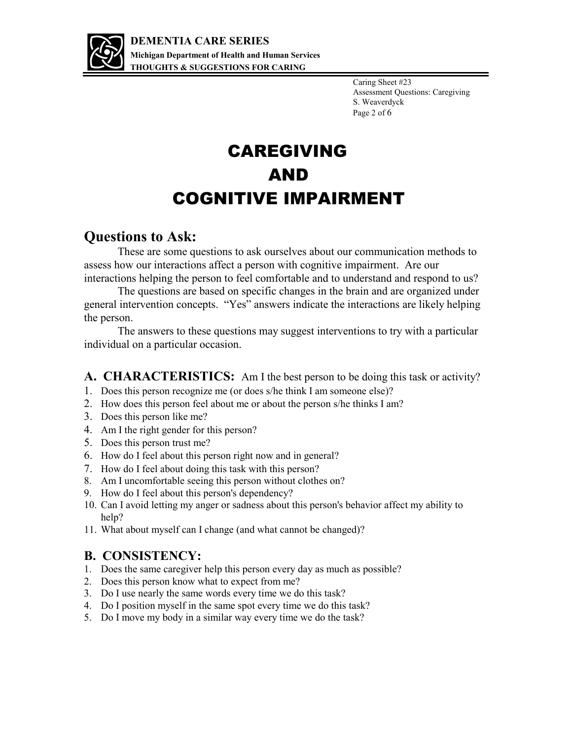

Caring Sheet #23 Assessment Questions: Caregiving S. Weaverdyck Page 2 of 6

# CAREGIVING AND COGNITIVE IMPAIRMENT

#### **Questions to Ask:**

These are some questions to ask ourselves about our communication methods to assess how our interactions affect a person with cognitive impairment. Are our interactions helping the person to feel comfortable and to understand and respond to us?

 The questions are based on specific changes in the brain and are organized under general intervention concepts. "Yes" answers indicate the interactions are likely helping the person.

 The answers to these questions may suggest interventions to try with a particular individual on a particular occasion.

#### **A. CHARACTERISTICS:** Am I the best person to be doing this task or activity?

- 1. Does this person recognize me (or does s/he think I am someone else)?
- 2. How does this person feel about me or about the person s/he thinks I am?
- 3. Does this person like me?
- 4. Am I the right gender for this person?
- 5. Does this person trust me?
- 6. How do I feel about this person right now and in general?
- 7. How do I feel about doing this task with this person?
- 8. Am I uncomfortable seeing this person without clothes on?
- 9. How do I feel about this person's dependency?
- 10. Can I avoid letting my anger or sadness about this person's behavior affect my ability to help?
- 11. What about myself can I change (and what cannot be changed)?

#### **B. CONSISTENCY:**

- 1. Does the same caregiver help this person every day as much as possible?
- 2. Does this person know what to expect from me?
- 3. Do I use nearly the same words every time we do this task?
- 4. Do I position myself in the same spot every time we do this task?
- 5. Do I move my body in a similar way every time we do the task?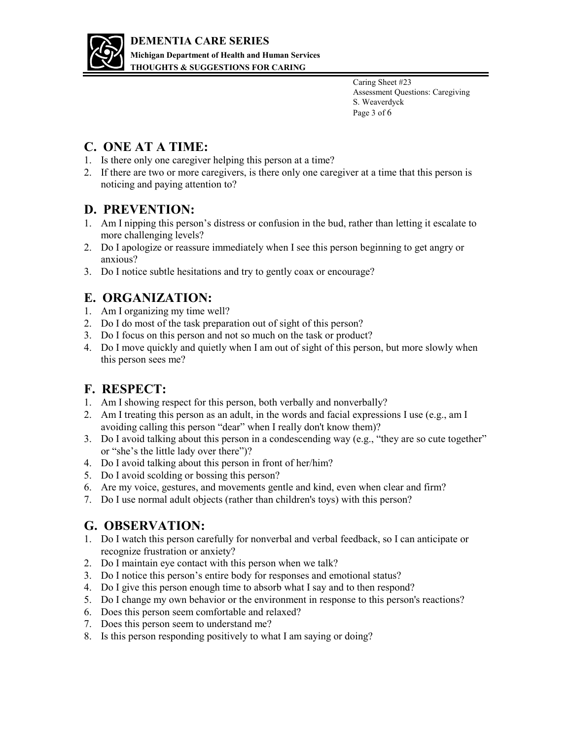

Caring Sheet #23 Assessment Questions: Caregiving S. Weaverdyck Page 3 of 6

#### **C. ONE AT A TIME:**

- 1. Is there only one caregiver helping this person at a time?
- 2. If there are two or more caregivers, is there only one caregiver at a time that this person is noticing and paying attention to?

#### **D. PREVENTION:**

- 1. Am I nipping this person's distress or confusion in the bud, rather than letting it escalate to more challenging levels?
- 2. Do I apologize or reassure immediately when I see this person beginning to get angry or anxious?
- 3. Do I notice subtle hesitations and try to gently coax or encourage?

#### **E. ORGANIZATION:**

- 1. Am I organizing my time well?
- 2. Do I do most of the task preparation out of sight of this person?
- 3. Do I focus on this person and not so much on the task or product?
- 4. Do I move quickly and quietly when I am out of sight of this person, but more slowly when this person sees me?

#### **F. RESPECT:**

- 1. Am I showing respect for this person, both verbally and nonverbally?
- 2. Am I treating this person as an adult, in the words and facial expressions I use (e.g., am I avoiding calling this person "dear" when I really don't know them)?
- 3. Do I avoid talking about this person in a condescending way (e.g., "they are so cute together" or "she's the little lady over there")?
- 4. Do I avoid talking about this person in front of her/him?
- 5. Do I avoid scolding or bossing this person?
- 6. Are my voice, gestures, and movements gentle and kind, even when clear and firm?
- 7. Do I use normal adult objects (rather than children's toys) with this person?

#### **G. OBSERVATION:**

- 1. Do I watch this person carefully for nonverbal and verbal feedback, so I can anticipate or recognize frustration or anxiety?
- 2. Do I maintain eye contact with this person when we talk?
- 3. Do I notice this person's entire body for responses and emotional status?
- 4. Do I give this person enough time to absorb what I say and to then respond?
- 5. Do I change my own behavior or the environment in response to this person's reactions?
- 6. Does this person seem comfortable and relaxed?
- 7. Does this person seem to understand me?
- 8. Is this person responding positively to what I am saying or doing?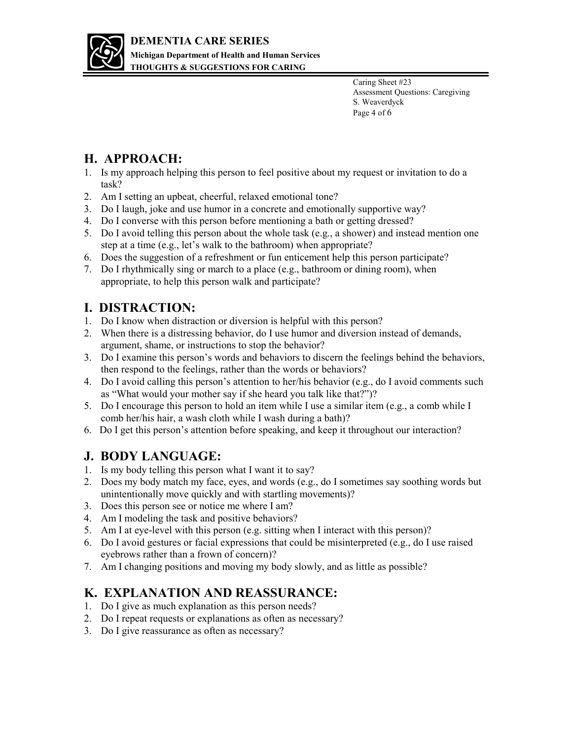

Caring Sheet #23 Assessment Questions: Caregiving S. Weaverdyck Page 4 of 6

#### **H. APPROACH:**

- 1. Is my approach helping this person to feel positive about my request or invitation to do a task?
- 2. Am I setting an upbeat, cheerful, relaxed emotional tone?
- 3. Do I laugh, joke and use humor in a concrete and emotionally supportive way?
- 4. Do I converse with this person before mentioning a bath or getting dressed?
- 5. Do I avoid telling this person about the whole task (e.g., a shower) and instead mention one step at a time (e.g., let's walk to the bathroom) when appropriate?
- 6. Does the suggestion of a refreshment or fun enticement help this person participate?
- 7. Do I rhythmically sing or march to a place (e.g., bathroom or dining room), when appropriate, to help this person walk and participate?

#### **I. DISTRACTION:**

- 1. Do I know when distraction or diversion is helpful with this person?
- 2. When there is a distressing behavior, do I use humor and diversion instead of demands, argument, shame, or instructions to stop the behavior?
- 3. Do I examine this person's words and behaviors to discern the feelings behind the behaviors, then respond to the feelings, rather than the words or behaviors?
- 4. Do I avoid calling this person's attention to her/his behavior (e.g., do I avoid comments such as "What would your mother say if she heard you talk like that?")?
- 5. Do I encourage this person to hold an item while I use a similar item (e.g., a comb while I comb her/his hair, a wash cloth while I wash during a bath)?
- 6. Do I get this person's attention before speaking, and keep it throughout our interaction?

#### **J. BODY LANGUAGE:**

- 1. Is my body telling this person what I want it to say?
- 2. Does my body match my face, eyes, and words (e.g., do I sometimes say soothing words but unintentionally move quickly and with startling movements)?
- 3. Does this person see or notice me where I am?
- 4. Am I modeling the task and positive behaviors?
- 5. Am I at eye-level with this person (e.g. sitting when I interact with this person)?
- 6. Do I avoid gestures or facial expressions that could be misinterpreted (e.g., do I use raised eyebrows rather than a frown of concern)?
- 7. Am I changing positions and moving my body slowly, and as little as possible?

#### **K. EXPLANATION AND REASSURANCE:**

- 1. Do I give as much explanation as this person needs?
- 2. Do I repeat requests or explanations as often as necessary?
- 3. Do I give reassurance as often as necessary?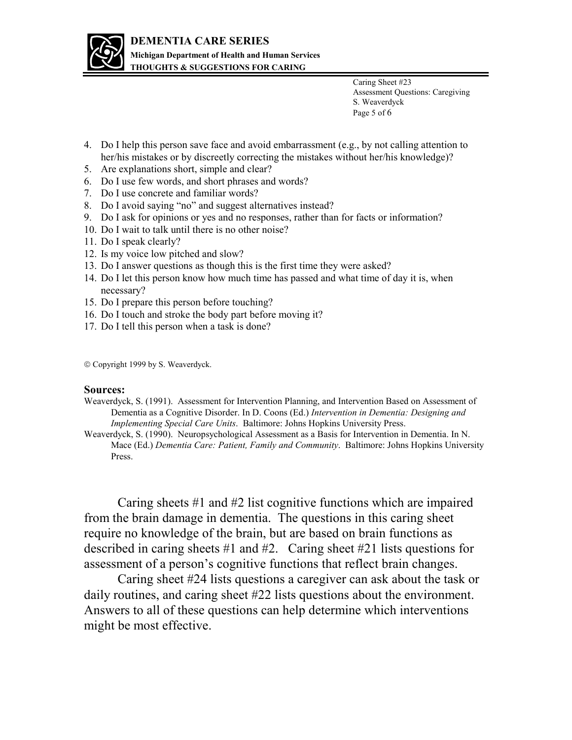

**THOUGHTS & SUGGESTIONS FOR CARING** 

Caring Sheet #23 Assessment Questions: Caregiving S. Weaverdyck Page 5 of 6

- 4. Do I help this person save face and avoid embarrassment (e.g., by not calling attention to her/his mistakes or by discreetly correcting the mistakes without her/his knowledge)?
- 5. Are explanations short, simple and clear?
- 6. Do I use few words, and short phrases and words?
- 7. Do I use concrete and familiar words?
- 8. Do I avoid saying "no" and suggest alternatives instead?
- 9. Do I ask for opinions or yes and no responses, rather than for facts or information?
- 10. Do I wait to talk until there is no other noise?
- 11. Do I speak clearly?
- 12. Is my voice low pitched and slow?
- 13. Do I answer questions as though this is the first time they were asked?
- 14. Do I let this person know how much time has passed and what time of day it is, when necessary?
- 15. Do I prepare this person before touching?
- 16. Do I touch and stroke the body part before moving it?
- 17. Do I tell this person when a task is done?

Copyright 1999 by S. Weaverdyck.

#### **Sources:**

- Weaverdyck, S. (1991). Assessment for Intervention Planning, and Intervention Based on Assessment of Dementia as a Cognitive Disorder. In D. Coons (Ed.) *Intervention in Dementia: Designing and Implementing Special Care Units*. Baltimore: Johns Hopkins University Press.
- Weaverdyck, S. (1990). Neuropsychological Assessment as a Basis for Intervention in Dementia. In N. Mace (Ed.) *Dementia Care: Patient, Family and Community*. Baltimore: Johns Hopkins University Press.

Caring sheets #1 and #2 list cognitive functions which are impaired from the brain damage in dementia. The questions in this caring sheet require no knowledge of the brain, but are based on brain functions as described in caring sheets #1 and #2. Caring sheet #21 lists questions for assessment of a person's cognitive functions that reflect brain changes.

Caring sheet #24 lists questions a caregiver can ask about the task or daily routines, and caring sheet #22 lists questions about the environment. Answers to all of these questions can help determine which interventions might be most effective.